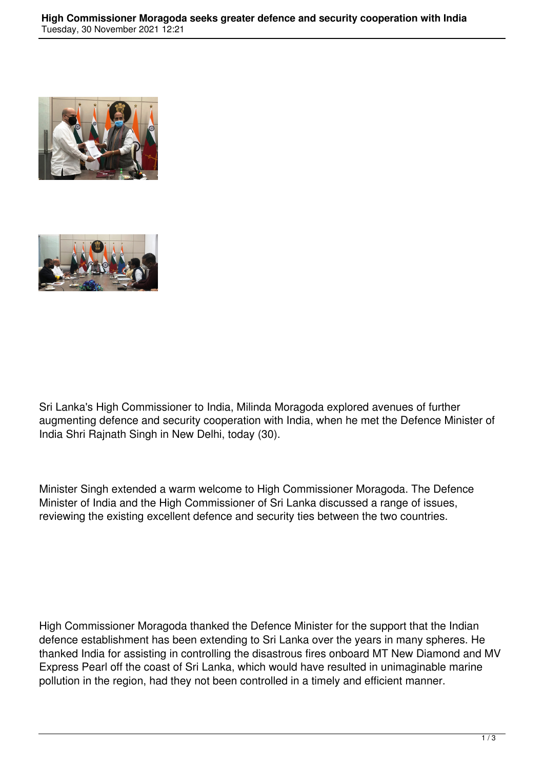



Sri Lanka's High Commissioner to India, Milinda Moragoda explored avenues of further augmenting defence and security cooperation with India, when he met the Defence Minister of India Shri Rajnath Singh in New Delhi, today (30).

Minister Singh extended a warm welcome to High Commissioner Moragoda. The Defence Minister of India and the High Commissioner of Sri Lanka discussed a range of issues, reviewing the existing excellent defence and security ties between the two countries.

High Commissioner Moragoda thanked the Defence Minister for the support that the Indian defence establishment has been extending to Sri Lanka over the years in many spheres. He thanked India for assisting in controlling the disastrous fires onboard MT New Diamond and MV Express Pearl off the coast of Sri Lanka, which would have resulted in unimaginable marine pollution in the region, had they not been controlled in a timely and efficient manner.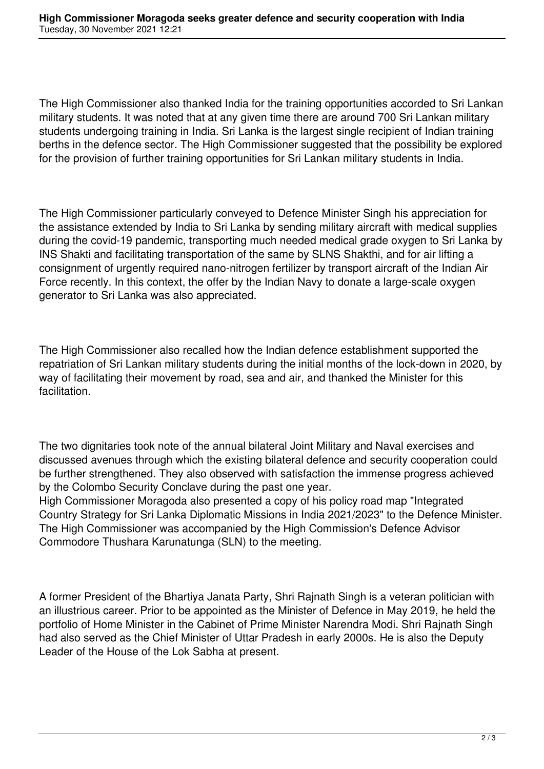The High Commissioner also thanked India for the training opportunities accorded to Sri Lankan military students. It was noted that at any given time there are around 700 Sri Lankan military students undergoing training in India. Sri Lanka is the largest single recipient of Indian training berths in the defence sector. The High Commissioner suggested that the possibility be explored for the provision of further training opportunities for Sri Lankan military students in India.

The High Commissioner particularly conveyed to Defence Minister Singh his appreciation for the assistance extended by India to Sri Lanka by sending military aircraft with medical supplies during the covid-19 pandemic, transporting much needed medical grade oxygen to Sri Lanka by INS Shakti and facilitating transportation of the same by SLNS Shakthi, and for air lifting a consignment of urgently required nano-nitrogen fertilizer by transport aircraft of the Indian Air Force recently. In this context, the offer by the Indian Navy to donate a large-scale oxygen generator to Sri Lanka was also appreciated.

The High Commissioner also recalled how the Indian defence establishment supported the repatriation of Sri Lankan military students during the initial months of the lock-down in 2020, by way of facilitating their movement by road, sea and air, and thanked the Minister for this facilitation.

The two dignitaries took note of the annual bilateral Joint Military and Naval exercises and discussed avenues through which the existing bilateral defence and security cooperation could be further strengthened. They also observed with satisfaction the immense progress achieved by the Colombo Security Conclave during the past one year.

High Commissioner Moragoda also presented a copy of his policy road map "Integrated Country Strategy for Sri Lanka Diplomatic Missions in India 2021/2023" to the Defence Minister. The High Commissioner was accompanied by the High Commission's Defence Advisor Commodore Thushara Karunatunga (SLN) to the meeting.

A former President of the Bhartiya Janata Party, Shri Rajnath Singh is a veteran politician with an illustrious career. Prior to be appointed as the Minister of Defence in May 2019, he held the portfolio of Home Minister in the Cabinet of Prime Minister Narendra Modi. Shri Rajnath Singh had also served as the Chief Minister of Uttar Pradesh in early 2000s. He is also the Deputy Leader of the House of the Lok Sabha at present.